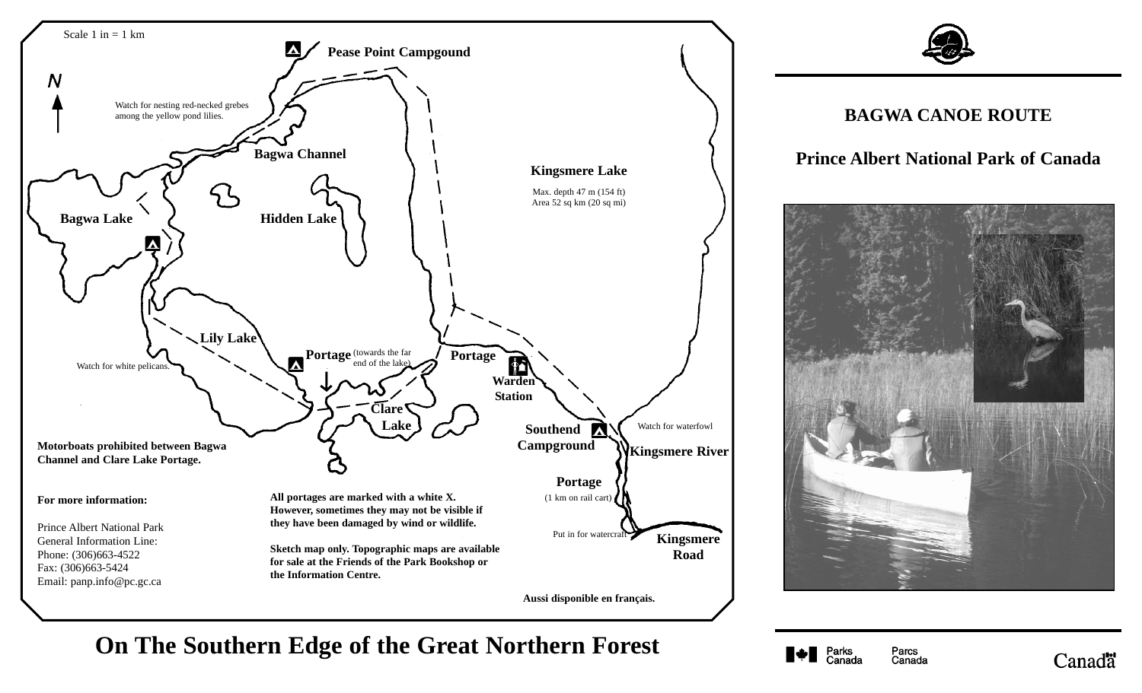



**On The Southern Edge of the Great Northern Forest**